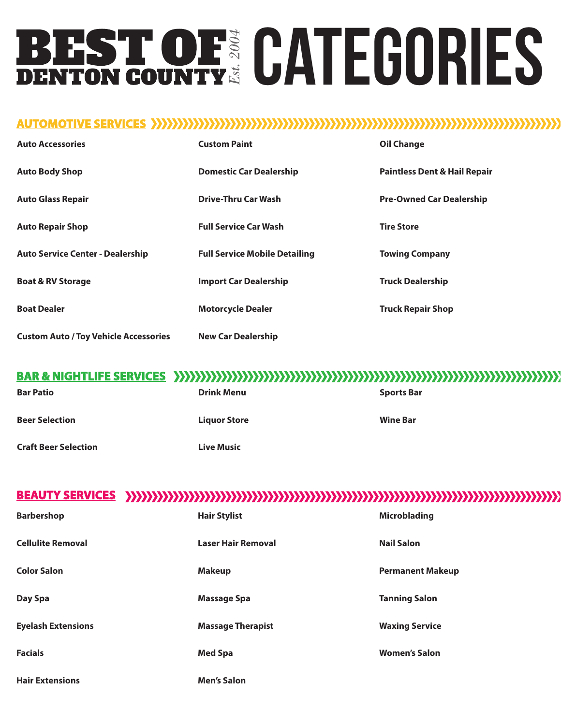# **BEST OF CATEGORIES**

## **AUTOMOTIVE SERVICES UTOMOTIVE**

| <b>Auto Accessories</b>                      | <b>Custom Paint</b>                  | <b>Oil Change</b>                       |
|----------------------------------------------|--------------------------------------|-----------------------------------------|
| <b>Auto Body Shop</b>                        | <b>Domestic Car Dealership</b>       | <b>Paintless Dent &amp; Hail Repair</b> |
| <b>Auto Glass Repair</b>                     | <b>Drive-Thru Car Wash</b>           | <b>Pre-Owned Car Dealership</b>         |
| <b>Auto Repair Shop</b>                      | <b>Full Service Car Wash</b>         | <b>Tire Store</b>                       |
| <b>Auto Service Center - Dealership</b>      | <b>Full Service Mobile Detailing</b> | <b>Towing Company</b>                   |
| <b>Boat &amp; RV Storage</b>                 | <b>Import Car Dealership</b>         | <b>Truck Dealership</b>                 |
| <b>Boat Dealer</b>                           | <b>Motorcycle Dealer</b>             | <b>Truck Repair Shop</b>                |
| <b>Custom Auto / Toy Vehicle Accessories</b> | <b>New Car Dealership</b>            |                                         |

## **BAR & NIGHTLIFE SERVICES AR**

| <b>Bar Patio</b>            | <b>Drink Menu</b>   | <b>Sports Bar</b> |
|-----------------------------|---------------------|-------------------|
| <b>Beer Selection</b>       | <b>Liquor Store</b> | <b>Wine Bar</b>   |
| <b>Craft Beer Selection</b> | <b>Live Music</b>   |                   |

# **BEAUTY SERVICES UTY**

| <b>Barbershop</b>         | <b>Hair Stylist</b>       | <b>Microblading</b>     |
|---------------------------|---------------------------|-------------------------|
| <b>Cellulite Removal</b>  | <b>Laser Hair Removal</b> | <b>Nail Salon</b>       |
| <b>Color Salon</b>        | <b>Makeup</b>             | <b>Permanent Makeup</b> |
| Day Spa                   | <b>Massage Spa</b>        | <b>Tanning Salon</b>    |
| <b>Eyelash Extensions</b> | <b>Massage Therapist</b>  | <b>Waxing Service</b>   |
| <b>Facials</b>            | <b>Med Spa</b>            | <b>Women's Salon</b>    |
| <b>Hair Extensions</b>    | <b>Men's Salon</b>        |                         |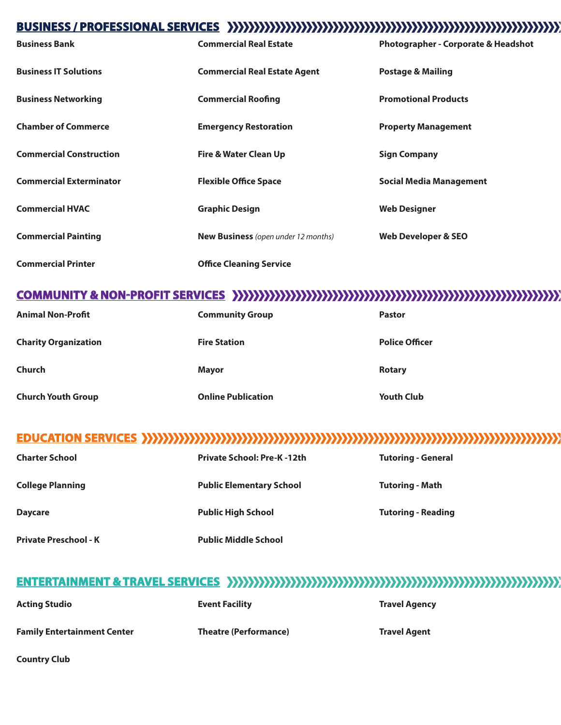#### **BUSINESS BUSINESS / PROFESSIONAL SERVICES SERVICES**

| <b>Business Bank</b>           | <b>Commercial Real Estate</b>              | Photographer - Corporate & Headshot |
|--------------------------------|--------------------------------------------|-------------------------------------|
| <b>Business IT Solutions</b>   | <b>Commercial Real Estate Agent</b>        | <b>Postage &amp; Mailing</b>        |
| <b>Business Networking</b>     | <b>Commercial Roofing</b>                  | <b>Promotional Products</b>         |
| <b>Chamber of Commerce</b>     | <b>Emergency Restoration</b>               | <b>Property Management</b>          |
| <b>Commercial Construction</b> | Fire & Water Clean Up                      | <b>Sign Company</b>                 |
| <b>Commercial Exterminator</b> | <b>Flexible Office Space</b>               | Social Media Management             |
| <b>Commercial HVAC</b>         | <b>Graphic Design</b>                      | <b>Web Designer</b>                 |
| <b>Commercial Painting</b>     | <b>New Business</b> (open under 12 months) | <b>Web Developer &amp; SEO</b>      |
| <b>Commercial Printer</b>      | <b>Office Cleaning Service</b>             |                                     |

#### **COMMUNITY & NON-PROFIT SERVICES OMMUNITY**

| <b>Animal Non-Profit</b>    | <b>Community Group</b>    | <b>Pastor</b>         |
|-----------------------------|---------------------------|-----------------------|
| <b>Charity Organization</b> | <b>Fire Station</b>       | <b>Police Officer</b> |
| Church                      | <b>Mayor</b>              | <b>Rotary</b>         |
| <b>Church Youth Group</b>   | <b>Online Publication</b> | <b>Youth Club</b>     |

## **EDUCATION SERVICES ATION**

| <b>Charter School</b>        | <b>Private School: Pre-K-12th</b> | <b>Tutoring - General</b> |
|------------------------------|-----------------------------------|---------------------------|
| <b>College Planning</b>      | <b>Public Elementary School</b>   | <b>Tutoring - Math</b>    |
| <b>Daycare</b>               | <b>Public High School</b>         | <b>Tutoring - Reading</b> |
| <b>Private Preschool - K</b> | <b>Public Middle School</b>       |                           |

## **ENTERTAINMENT & TRAVEL SERVICES AINMENT**

| <b>Acting Studio</b>               | <b>Event Facility</b>        | <b>Travel Agency</b> |
|------------------------------------|------------------------------|----------------------|
| <b>Family Entertainment Center</b> | <b>Theatre (Performance)</b> | <b>Travel Agent</b>  |

**Country Club**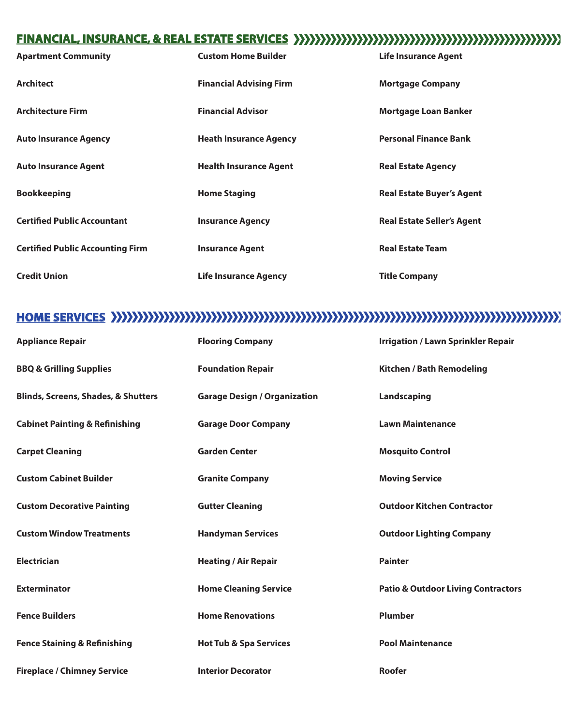## **FINANCIAL FINANCIAL, INSURANCE, & REAL ESTATE SERVICES ,**

| <b>Apartment Community</b>              | <b>Custom Home Builder</b>     | <b>Life Insurance Agent</b>       |
|-----------------------------------------|--------------------------------|-----------------------------------|
| <b>Architect</b>                        | <b>Financial Advising Firm</b> | <b>Mortgage Company</b>           |
| <b>Architecture Firm</b>                | <b>Financial Advisor</b>       | <b>Mortgage Loan Banker</b>       |
| <b>Auto Insurance Agency</b>            | <b>Heath Insurance Agency</b>  | <b>Personal Finance Bank</b>      |
| <b>Auto Insurance Agent</b>             | <b>Health Insurance Agent</b>  | <b>Real Estate Agency</b>         |
| <b>Bookkeeping</b>                      | <b>Home Staging</b>            | <b>Real Estate Buyer's Agent</b>  |
| <b>Certified Public Accountant</b>      | <b>Insurance Agency</b>        | <b>Real Estate Seller's Agent</b> |
| <b>Certified Public Accounting Firm</b> | <b>Insurance Agent</b>         | <b>Real Estate Team</b>           |
| <b>Credit Union</b>                     | <b>Life Insurance Agency</b>   | <b>Title Company</b>              |

# **HOME SERVICES SERVICES** SERVICES SERVICES SERVICES SERVICES SERVICES SERVICES SERVICES SERVICES SERVICES

| <b>Appliance Repair</b>                        | <b>Flooring Company</b>             | <b>Irrigation / Lawn Sprinkler Repair</b>     |
|------------------------------------------------|-------------------------------------|-----------------------------------------------|
| <b>BBQ &amp; Grilling Supplies</b>             | <b>Foundation Repair</b>            | <b>Kitchen / Bath Remodeling</b>              |
| <b>Blinds, Screens, Shades, &amp; Shutters</b> | <b>Garage Design / Organization</b> | Landscaping                                   |
| <b>Cabinet Painting &amp; Refinishing</b>      | <b>Garage Door Company</b>          | <b>Lawn Maintenance</b>                       |
| <b>Carpet Cleaning</b>                         | <b>Garden Center</b>                | <b>Mosquito Control</b>                       |
| <b>Custom Cabinet Builder</b>                  | <b>Granite Company</b>              | <b>Moving Service</b>                         |
| <b>Custom Decorative Painting</b>              | <b>Gutter Cleaning</b>              | <b>Outdoor Kitchen Contractor</b>             |
| <b>Custom Window Treatments</b>                | <b>Handyman Services</b>            | <b>Outdoor Lighting Company</b>               |
| <b>Electrician</b>                             | <b>Heating / Air Repair</b>         | <b>Painter</b>                                |
| <b>Exterminator</b>                            | <b>Home Cleaning Service</b>        | <b>Patio &amp; Outdoor Living Contractors</b> |
| <b>Fence Builders</b>                          | <b>Home Renovations</b>             | <b>Plumber</b>                                |
| <b>Fence Staining &amp; Refinishing</b>        | <b>Hot Tub &amp; Spa Services</b>   | <b>Pool Maintenance</b>                       |
| <b>Fireplace / Chimney Service</b>             | <b>Interior Decorator</b>           | <b>Roofer</b>                                 |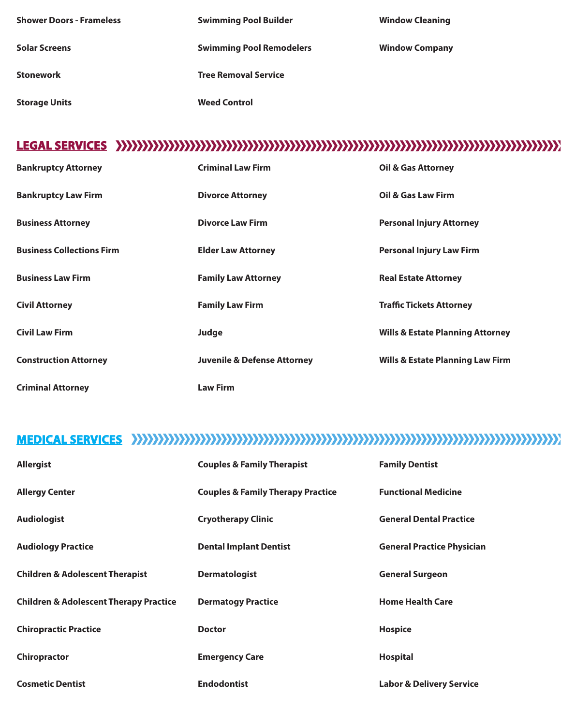| <b>Shower Doors - Frameless</b> | <b>Swimming Pool Builder</b>    | <b>Window Cleaning</b> |
|---------------------------------|---------------------------------|------------------------|
| <b>Solar Screens</b>            | <b>Swimming Pool Remodelers</b> | <b>Window Company</b>  |
| <b>Stonework</b>                | <b>Tree Removal Service</b>     |                        |
| <b>Storage Units</b>            | <b>Weed Control</b>             |                        |

# **LEGAL SERVICES SERVICES**

| <b>Bankruptcy Attorney</b>       | <b>Criminal Law Firm</b>               | <b>Oil &amp; Gas Attorney</b>               |
|----------------------------------|----------------------------------------|---------------------------------------------|
| <b>Bankruptcy Law Firm</b>       | <b>Divorce Attorney</b>                | Oil & Gas Law Firm                          |
| <b>Business Attorney</b>         | <b>Divorce Law Firm</b>                | <b>Personal Injury Attorney</b>             |
| <b>Business Collections Firm</b> | <b>Elder Law Attorney</b>              | <b>Personal Injury Law Firm</b>             |
| <b>Business Law Firm</b>         | <b>Family Law Attorney</b>             | <b>Real Estate Attorney</b>                 |
| <b>Civil Attorney</b>            | <b>Family Law Firm</b>                 | <b>Traffic Tickets Attorney</b>             |
| <b>Civil Law Firm</b>            | Judge                                  | <b>Wills &amp; Estate Planning Attorney</b> |
| <b>Construction Attorney</b>     | <b>Juvenile &amp; Defense Attorney</b> | <b>Wills &amp; Estate Planning Law Firm</b> |
| <b>Criminal Attorney</b>         | <b>Law Firm</b>                        |                                             |

# **MEDICAL SERVICES AL**

| <b>Allergist</b>                                  | <b>Couples &amp; Family Therapist</b>        | <b>Family Dentist</b>               |
|---------------------------------------------------|----------------------------------------------|-------------------------------------|
| <b>Allergy Center</b>                             | <b>Couples &amp; Family Therapy Practice</b> | <b>Functional Medicine</b>          |
| <b>Audiologist</b>                                | <b>Cryotherapy Clinic</b>                    | <b>General Dental Practice</b>      |
| <b>Audiology Practice</b>                         | <b>Dental Implant Dentist</b>                | <b>General Practice Physician</b>   |
| <b>Children &amp; Adolescent Therapist</b>        | <b>Dermatologist</b>                         | <b>General Surgeon</b>              |
| <b>Children &amp; Adolescent Therapy Practice</b> | <b>Dermatogy Practice</b>                    | <b>Home Health Care</b>             |
| <b>Chiropractic Practice</b>                      | <b>Doctor</b>                                | <b>Hospice</b>                      |
| Chiropractor                                      | <b>Emergency Care</b>                        | <b>Hospital</b>                     |
| <b>Cosmetic Dentist</b>                           | <b>Endodontist</b>                           | <b>Labor &amp; Delivery Service</b> |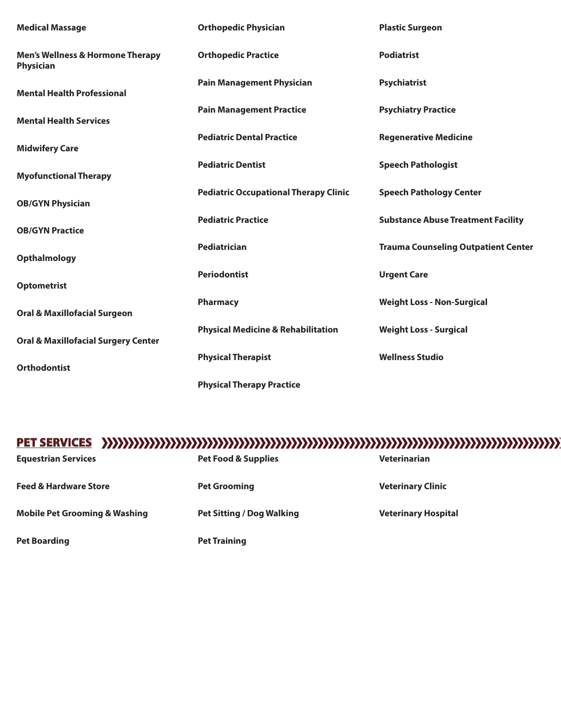| <b>Medical Massage</b>                                          | <b>Orthopedic Physician</b>                   | <b>Plastic Surgeon</b>                     |
|-----------------------------------------------------------------|-----------------------------------------------|--------------------------------------------|
| <b>Men's Wellness &amp; Hormone Therapy</b><br><b>Physician</b> | <b>Orthopedic Practice</b>                    | <b>Podiatrist</b>                          |
| <b>Mental Health Professional</b>                               | <b>Pain Management Physician</b>              | <b>Psychiatrist</b>                        |
| <b>Mental Health Services</b>                                   | <b>Pain Management Practice</b>               | <b>Psychiatry Practice</b>                 |
| <b>Midwifery Care</b>                                           | <b>Pediatric Dental Practice</b>              | <b>Regenerative Medicine</b>               |
| <b>Myofunctional Therapy</b>                                    | <b>Pediatric Dentist</b>                      | <b>Speech Pathologist</b>                  |
| <b>OB/GYN Physician</b>                                         | <b>Pediatric Occupational Therapy Clinic</b>  | <b>Speech Pathology Center</b>             |
| <b>OB/GYN Practice</b>                                          | <b>Pediatric Practice</b>                     | <b>Substance Abuse Treatment Facility</b>  |
| <b>Opthalmology</b>                                             | Pediatrician                                  | <b>Trauma Counseling Outpatient Center</b> |
| <b>Optometrist</b>                                              | <b>Periodontist</b>                           | <b>Urgent Care</b>                         |
| <b>Oral &amp; Maxillofacial Surgeon</b>                         | Pharmacy                                      | <b>Weight Loss - Non-Surgical</b>          |
| <b>Oral &amp; Maxillofacial Surgery Center</b>                  | <b>Physical Medicine &amp; Rehabilitation</b> | <b>Weight Loss - Surgical</b>              |
| <b>Orthodontist</b>                                             | <b>Physical Therapist</b>                     | <b>Wellness Studio</b>                     |
|                                                                 | <b>Physical Therapy Practice</b>              |                                            |

#### **PET SERVICES T**

| <b>Equestrian Services</b>               | <b>Pet Food &amp; Supplies</b>   | <b>Veterinarian</b>        |
|------------------------------------------|----------------------------------|----------------------------|
| <b>Feed &amp; Hardware Store</b>         | <b>Pet Grooming</b>              | <b>Veterinary Clinic</b>   |
| <b>Mobile Pet Grooming &amp; Washing</b> | <b>Pet Sitting / Dog Walking</b> | <b>Veterinary Hospital</b> |
| <b>Pet Boarding</b>                      | <b>Pet Training</b>              |                            |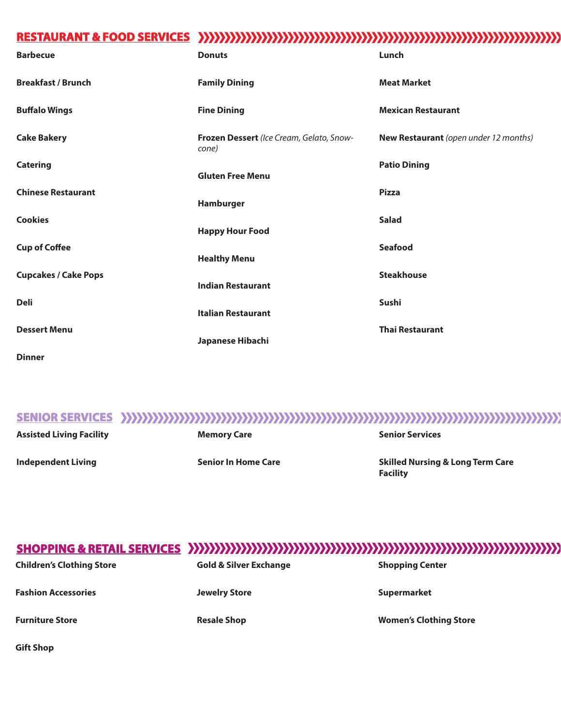# **RESTAURANT & FOOD SERVICES AURANT**

| <b>Barbecue</b>             | <b>Donuts</b>                                     | Lunch                                 |
|-----------------------------|---------------------------------------------------|---------------------------------------|
| <b>Breakfast / Brunch</b>   | <b>Family Dining</b>                              | <b>Meat Market</b>                    |
| <b>Buffalo Wings</b>        | <b>Fine Dining</b>                                | <b>Mexican Restaurant</b>             |
| <b>Cake Bakery</b>          | Frozen Dessert (Ice Cream, Gelato, Snow-<br>cone) | New Restaurant (open under 12 months) |
| <b>Catering</b>             | <b>Gluten Free Menu</b>                           | <b>Patio Dining</b>                   |
| <b>Chinese Restaurant</b>   | Hamburger                                         | <b>Pizza</b>                          |
| <b>Cookies</b>              | <b>Happy Hour Food</b>                            | <b>Salad</b>                          |
| <b>Cup of Coffee</b>        | <b>Healthy Menu</b>                               | <b>Seafood</b>                        |
| <b>Cupcakes / Cake Pops</b> | <b>Indian Restaurant</b>                          | <b>Steakhouse</b>                     |
| <b>Deli</b>                 | <b>Italian Restaurant</b>                         | Sushi                                 |
| <b>Dessert Menu</b>         | Japanese Hibachi                                  | <b>Thai Restaurant</b>                |

**Dinner**

## **SENIOR SERVICES SERVICES**

**Assisted Living Facility**

**Memory Care**

**Independent Living**

**Senior In Home Care**

**Senior Services**

**Skilled Nursing & Long Term Care Facility**

#### **SHOPPING SHOPPING & RETAIL SERVICES SERVICES**

| <b>Children's Clothing Store</b> | <b>Gold &amp; Silver Exchange</b> | <b>Shopping Center</b>        |
|----------------------------------|-----------------------------------|-------------------------------|
| <b>Fashion Accessories</b>       | <b>Jewelry Store</b>              | <b>Supermarket</b>            |
| <b>Furniture Store</b>           | <b>Resale Shop</b>                | <b>Women's Clothing Store</b> |

**Gift Shop**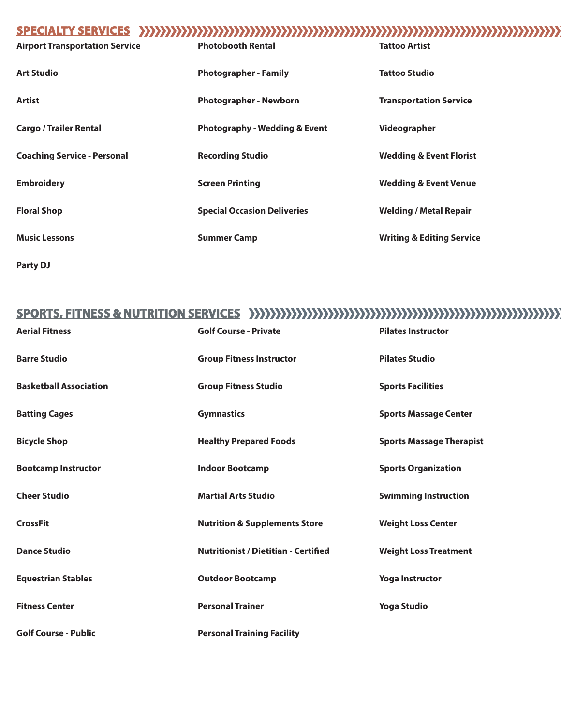## **SPECIAL SPECIALTY SERVICES TY**

**Party DJ**

#### **SPORTS, FITNESS & NUTRITION SERVICES S,**

| <b>Aerial Fitness</b>         | <b>Golf Course - Private</b>                | <b>Pilates Instructor</b>       |
|-------------------------------|---------------------------------------------|---------------------------------|
| <b>Barre Studio</b>           | <b>Group Fitness Instructor</b>             | <b>Pilates Studio</b>           |
| <b>Basketball Association</b> | <b>Group Fitness Studio</b>                 | <b>Sports Facilities</b>        |
| <b>Batting Cages</b>          | <b>Gymnastics</b>                           | <b>Sports Massage Center</b>    |
| <b>Bicycle Shop</b>           | <b>Healthy Prepared Foods</b>               | <b>Sports Massage Therapist</b> |
| <b>Bootcamp Instructor</b>    | <b>Indoor Bootcamp</b>                      | <b>Sports Organization</b>      |
| <b>Cheer Studio</b>           | <b>Martial Arts Studio</b>                  | <b>Swimming Instruction</b>     |
| <b>CrossFit</b>               | <b>Nutrition &amp; Supplements Store</b>    | <b>Weight Loss Center</b>       |
| <b>Dance Studio</b>           | <b>Nutritionist / Dietitian - Certified</b> | <b>Weight Loss Treatment</b>    |
| <b>Equestrian Stables</b>     | <b>Outdoor Bootcamp</b>                     | <b>Yoga Instructor</b>          |
| <b>Fitness Center</b>         | <b>Personal Trainer</b>                     | <b>Yoga Studio</b>              |
| <b>Golf Course - Public</b>   | <b>Personal Training Facility</b>           |                                 |